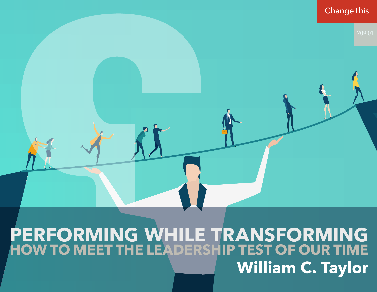

### **PERFORMING WHILE TRANSFORMING HOW TO MEET THE LEADERSHIP TEST OF OUR TIME William C. Taylor**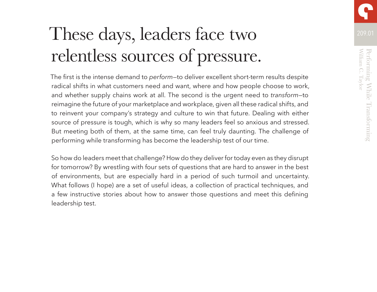# These days, leaders face two 209.01 relentless sources of pressure.

The first is the intense demand to *perform*—to deliver excellent short-term results despite radical shifts in what customers need and want, where and how people choose to work, and whether supply chains work at all. The second is the urgent need to *transform*—to reimagine the future of your marketplace and workplace, given all these radical shifts, and to reinvent your company's strategy and culture to win that future. Dealing with either source of pressure is tough, which is why so many leaders feel so anxious and stressed. But meeting both of them, at the same time, can feel truly daunting. The challenge of performing while transforming has become the leadership test of our time.

So how do leaders meet that challenge? How do they deliver for today even as they disrupt for tomorrow? By wrestling with four sets of questions that are hard to answer in the best of environments, but are especially hard in a period of such turmoil and uncertainty. What follows (I hope) are a set of useful ideas, a collection of practical techniques, and a few instructive stories about how to answer those questions and meet this defining leadership test.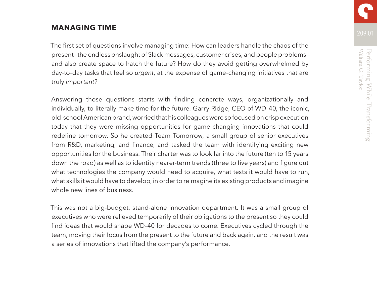### **MANAGING TIME**

The first set of questions involve managing time: How can leaders handle the chaos of the present—the endless onslaught of Slack messages, customer crises, and people problems and also create space to hatch the future? How do they avoid getting overwhelmed by day-to-day tasks that feel so *urgent*, at the expense of game-changing initiatives that are truly *important*?

Answering those questions starts with finding concrete ways, organizationally and individually, to literally make time for the future. Garry Ridge, CEO of WD-40, the iconic, old-school American brand, worried that his colleagues were so focused on crisp execution today that they were missing opportunities for game-changing innovations that could redefine tomorrow. So he created Team Tomorrow, a small group of senior executives from R&D, marketing, and finance, and tasked the team with identifying exciting new opportunities for the business. Their charter was to look far into the future (ten to 15 years down the road) as well as to identity nearer-term trends (three to five years) and figure out what technologies the company would need to acquire, what tests it would have to run, what skills it would have to develop, in order to reimagine its existing products and imagine whole new lines of business.

This was not a big-budget, stand-alone innovation department. It was a small group of executives who were relieved temporarily of their obligations to the present so they could find ideas that would shape WD-40 for decades to come. Executives cycled through the team, moving their focus from the present to the future and back again, and the result was a series of innovations that lifted the company's performance.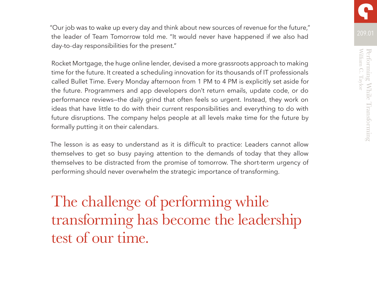209.01 "Our job was to wake up every day and think about new sources of revenue for the future," the leader of Team Tomorrow told me. "It would never have happened if we also had day-to-day responsibilities for the present."

Rocket Mortgage, the huge online lender, devised a more grassroots approach to making time for the future. It created a scheduling innovation for its thousands of IT professionals called Bullet Time. Every Monday afternoon from 1 PM to 4 PM is explicitly set aside for the future. Programmers and app developers don't return emails, update code, or do performance reviews—the daily grind that often feels so urgent. Instead, they work on ideas that have little to do with their current responsibilities and everything to do with future disruptions. The company helps people at all levels make time for the future by formally putting it on their calendars.

The lesson is as easy to understand as it is difficult to practice: Leaders cannot allow themselves to get so busy paying attention to the demands of today that they allow themselves to be distracted from the promise of tomorrow. The short-term urgency of performing should never overwhelm the strategic importance of transforming.

The challenge of performing while transforming has become the leadership test of our time.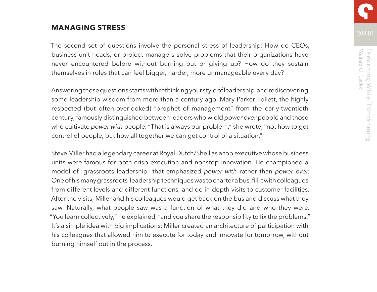### **MANAGING STRESS**

The second set of questions involve the personal stress of leadership: How do CEOs, business-unit heads, or project managers solve problems that their organizations have never encountered before without burning out or giving up? How do they sustain themselves in roles that can feel bigger, harder, more unmanageable every day?

Answering those questions starts with rethinking your style of leadership, and rediscovering some leadership wisdom from more than a century ago. Mary Parker Follett, the highly respected (but often-overlooked) "prophet of management" from the early-twentieth century, famously distinguished between leaders who wield *power over* people and those who cultivate *power with* people. "That is always our problem," she wrote, "not how to get control of people, but how all together we can get control of a situation."

Steve Miller had a legendary career at Royal Dutch/Shell as a top executive whose business units were famous for both crisp execution and nonstop innovation. He championed a model of "grassroots leadership" that emphasized *power with* rather than *power over*. One of his many grassroots-leadership techniques was to charter a bus, fill it with colleagues from different levels and different functions, and do in-depth visits to customer facilities. After the visits, Miller and his colleagues would get back on the bus and discuss what they saw. Naturally, what people saw was a function of what they did and who they were. "You learn collectively," he explained, "and you share the responsibility to fix the problems." It's a simple idea with big implications: Miller created an architecture of participation with his colleagues that allowed him to execute for today and innovate for tomorrow, without burning himself out in the process.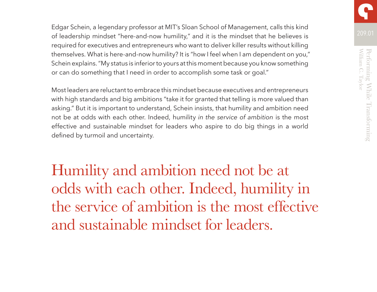Edgar Schein, a legendary professor at MIT's Sloan School of Management, calls this kind of leadership mindset "here-and-now humility," and it is the mindset that he believes is required for executives and entrepreneurs who want to deliver killer results without killing themselves. What is here-and-now humility? It is "how I feel when I am dependent on you," Schein explains. "My status is inferior to yours at this moment because you know something or can do something that I need in order to accomplish some task or goal."

Most leaders are reluctant to embrace this mindset because executives and entrepreneurs with high standards and big ambitions "take it for granted that telling is more valued than asking." But it is important to understand, Schein insists, that humility and ambition need not be at odds with each other. Indeed, humility *in the service of ambition* is the most effective and sustainable mindset for leaders who aspire to do big things in a world defined by turmoil and uncertainty.

Humility and ambition need not be at odds with each other. Indeed, humility in the service of ambition is the most effective and sustainable mindset for leaders.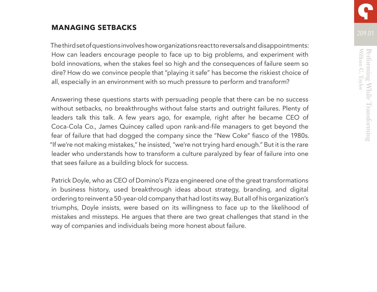### **MANAGING SETBACKS**

The third set of questions involves how organizations react to reversals and disappointments: How can leaders encourage people to face up to big problems, and experiment with bold innovations, when the stakes feel so high and the consequences of failure seem so dire? How do we convince people that "playing it safe" has become the riskiest choice of all, especially in an environment with so much pressure to perform and transform?

Answering these questions starts with persuading people that there can be no success without setbacks, no breakthroughs without false starts and outright failures. Plenty of leaders talk this talk. A few years ago, for example, right after he became CEO of Coca-Cola Co., James Quincey called upon rank-and-file managers to get beyond the fear of failure that had dogged the company since the "New Coke" fiasco of the 1980s. "If we're not making mistakes," he insisted, "we're not trying hard enough." But it is the rare leader who understands how to transform a culture paralyzed by fear of failure into one that sees failure as a building block for success.

Patrick Doyle, who as CEO of Domino's Pizza engineered one of the great transformations in business history, used breakthrough ideas about strategy, branding, and digital ordering to reinvent a 50-year-old company that had lost its way. But all of his organization's triumphs, Doyle insists, were based on its willingness to face up to the likelihood of mistakes and missteps. He argues that there are two great challenges that stand in the way of companies and individuals being more honest about failure.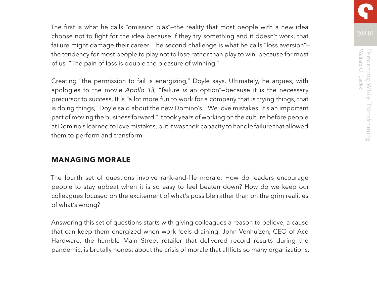The first is what he calls "omission bias"—the reality that most people with a new idea choose not to fight for the idea because if they try something and it doesn't work, that failure might damage their career. The second challenge is what he calls "loss aversion"the tendency for most people to play not to lose rather than play to win, because for most of us, "The pain of loss is double the pleasure of winning."

Creating "the permission to fail is energizing," Doyle says. Ultimately, he argues, with apologies to the movie *Apollo 13*, "failure *is* an option"—because it is the necessary precursor to success. It is "a lot more fun to work for a company that is trying things, that is doing things," Doyle said about the new Domino's. "We love mistakes. It's an important part of moving the business forward." It took years of working on the culture before people at Domino's learned to love mistakes, but it was their capacity to handle failure that allowed them to perform and transform.

### **MANAGING MORALE**

The fourth set of questions involve rank-and-file morale: How do leaders encourage people to stay upbeat when it is so easy to feel beaten down? How do we keep our colleagues focused on the excitement of what's possible rather than on the grim realities of what's wrong?

Answering this set of questions starts with giving colleagues a reason to believe, a cause that can keep them energized when work feels draining. John Venhuizen, CEO of Ace Hardware, the humble Main Street retailer that delivered record results during the pandemic, is brutally honest about the crisis of morale that afflicts so many organizations.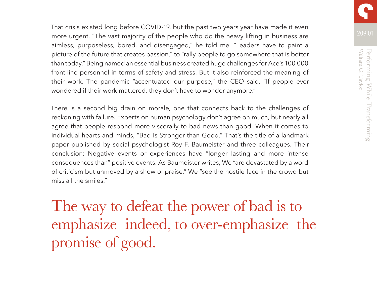That crisis existed long before COVID-19, but the past two years year have made it even more urgent. "The vast majority of the people who do the heavy lifting in business are aimless, purposeless, bored, and disengaged," he told me. "Leaders have to paint a picture of the future that creates passion," to "rally people to go somewhere that is better than today." Being named an essential business created huge challenges for Ace's 100,000 front-line personnel in terms of safety and stress. But it also reinforced the meaning of their work. The pandemic "accentuated our purpose," the CEO said. "If people ever wondered if their work mattered, they don't have to wonder anymore."

There is a second big drain on morale, one that connects back to the challenges of reckoning with failure. Experts on human psychology don't agree on much, but nearly all agree that people respond more viscerally to bad news than good. When it comes to individual hearts and minds, "Bad Is Stronger than Good." That's the title of a landmark paper published by social psychologist Roy F. Baumeister and three colleagues. Their conclusion: Negative events or experiences have "longer lasting and more intense consequences than" positive events. As Baumeister writes, We "are devastated by a word of criticism but unmoved by a show of praise." We "see the hostile face in the crowd but miss all the smiles."

The way to defeat the power of bad is to emphasize–indeed, to over-emphasize–the promise of good.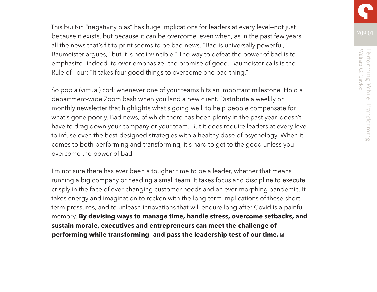This built-in "negativity bias" has huge implications for leaders at every level—not just because it exists, but because it can be overcome, even when, as in the past few years, all the news that's fit to print seems to be bad news. "Bad is universally powerful," Baumeister argues, "but it is not invincible." The way to defeat the power of bad is to emphasize—indeed, to over-emphasize—the promise of good. Baumeister calls is the Rule of Four: "It takes four good things to overcome one bad thing."

So pop a (virtual) cork whenever one of your teams hits an important milestone. Hold a department-wide Zoom bash when you land a new client. Distribute a weekly or monthly newsletter that highlights what's going well, to help people compensate for what's gone poorly. Bad news, of which there has been plenty in the past year, doesn't have to drag down your company or your team. But it does require leaders at every level to infuse even the best-designed strategies with a healthy dose of psychology. When it comes to both performing and transforming, it's hard to get to the good unless you overcome the power of bad.

I'm not sure there has ever been a tougher time to be a leader, whether that means running a big company or heading a small team. It takes focus and discipline to execute crisply in the face of ever-changing customer needs and an ever-morphing pandemic. It takes energy and imagination to reckon with the long-term implications of these shortterm pressures, and to unleash innovations that will endure long after Covid is a painful memory. **By devising ways to manage time, handle stress, overcome setbacks, and sustain morale, executives and entrepreneurs can meet the challenge of performing while transforming—and pass the leadership test of our time.**